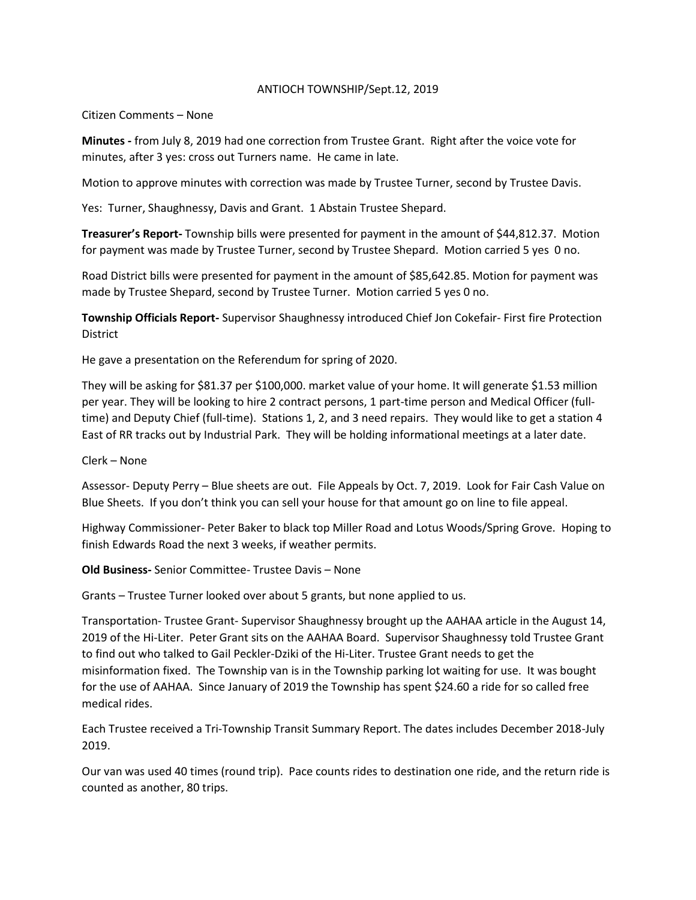## ANTIOCH TOWNSHIP/Sept.12, 2019

## Citizen Comments – None

**Minutes -** from July 8, 2019 had one correction from Trustee Grant. Right after the voice vote for minutes, after 3 yes: cross out Turners name. He came in late.

Motion to approve minutes with correction was made by Trustee Turner, second by Trustee Davis.

Yes: Turner, Shaughnessy, Davis and Grant. 1 Abstain Trustee Shepard.

**Treasurer's Report-** Township bills were presented for payment in the amount of \$44,812.37. Motion for payment was made by Trustee Turner, second by Trustee Shepard. Motion carried 5 yes 0 no.

Road District bills were presented for payment in the amount of \$85,642.85. Motion for payment was made by Trustee Shepard, second by Trustee Turner. Motion carried 5 yes 0 no.

**Township Officials Report-** Supervisor Shaughnessy introduced Chief Jon Cokefair- First fire Protection District

He gave a presentation on the Referendum for spring of 2020.

They will be asking for \$81.37 per \$100,000. market value of your home. It will generate \$1.53 million per year. They will be looking to hire 2 contract persons, 1 part-time person and Medical Officer (fulltime) and Deputy Chief (full-time). Stations 1, 2, and 3 need repairs. They would like to get a station 4 East of RR tracks out by Industrial Park. They will be holding informational meetings at a later date.

Clerk – None

Assessor- Deputy Perry – Blue sheets are out. File Appeals by Oct. 7, 2019. Look for Fair Cash Value on Blue Sheets. If you don't think you can sell your house for that amount go on line to file appeal.

Highway Commissioner- Peter Baker to black top Miller Road and Lotus Woods/Spring Grove. Hoping to finish Edwards Road the next 3 weeks, if weather permits.

**Old Business-** Senior Committee- Trustee Davis – None

Grants – Trustee Turner looked over about 5 grants, but none applied to us.

Transportation- Trustee Grant- Supervisor Shaughnessy brought up the AAHAA article in the August 14, 2019 of the Hi-Liter. Peter Grant sits on the AAHAA Board. Supervisor Shaughnessy told Trustee Grant to find out who talked to Gail Peckler-Dziki of the Hi-Liter. Trustee Grant needs to get the misinformation fixed. The Township van is in the Township parking lot waiting for use. It was bought for the use of AAHAA. Since January of 2019 the Township has spent \$24.60 a ride for so called free medical rides.

Each Trustee received a Tri-Township Transit Summary Report. The dates includes December 2018-July 2019.

Our van was used 40 times (round trip). Pace counts rides to destination one ride, and the return ride is counted as another, 80 trips.